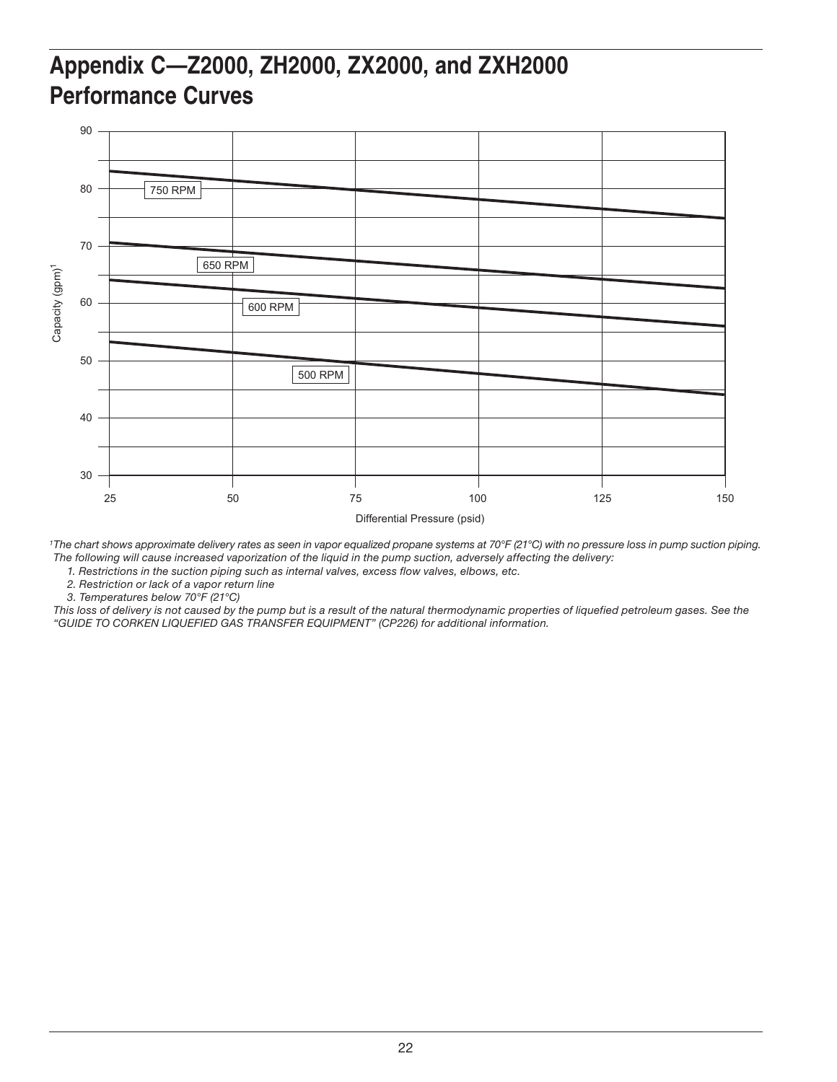## **Appendix C—Z2000, ZH2000, ZX2000, and ZXH2000 Performance Curves**



*1The chart shows approximate delivery rates as seen in vapor equalized propane systems at 70°F (21°C) with no pressure loss in pump suction piping. The following will cause increased vaporization of the liquid in the pump suction, adversely affecting the delivery:*

*1. Restrictions in the suction piping such as internal valves, excess flow valves, elbows, etc.*

*2. Restriction or lack of a vapor return line*

*3. Temperatures below 70°F (21°C)*

*This loss of delivery is not caused by the pump but is a result of the natural thermodynamic properties of liquefied petroleum gases. See the "GUIDE TO CORKEN LIQUEFIED GAS TRANSFER EQUIPMENT" (CP226) for additional information.*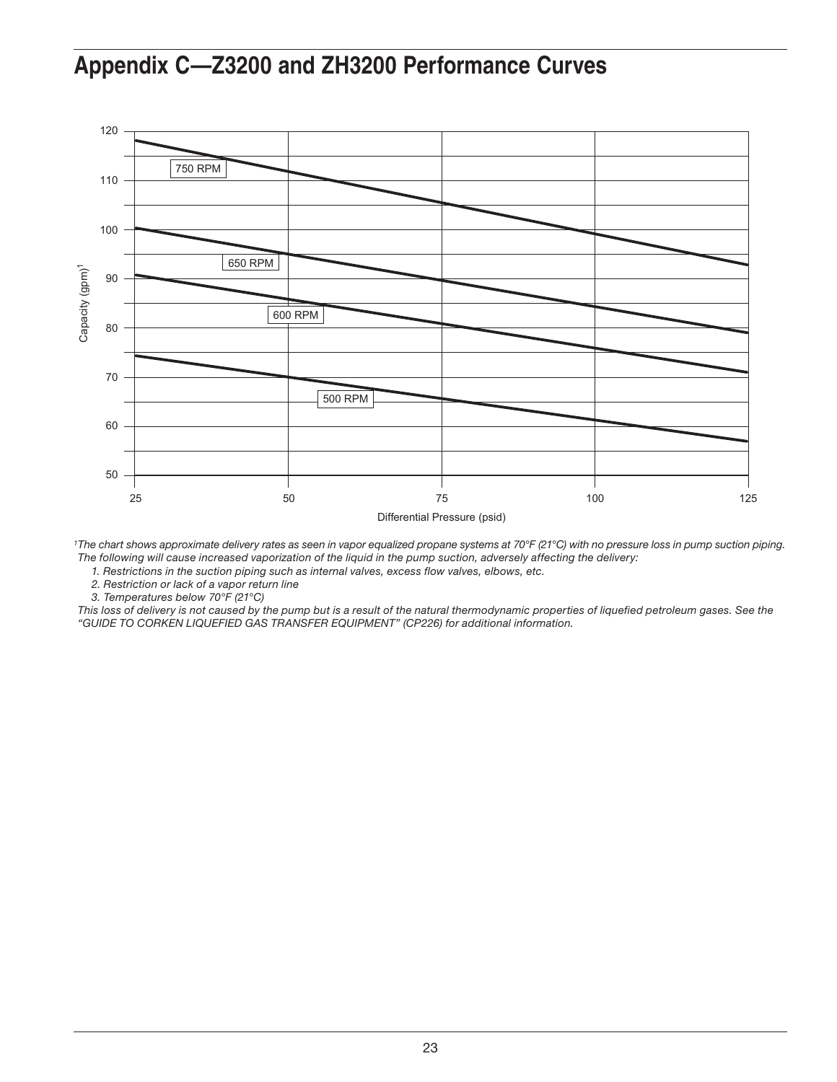### **Appendix C—Z3200 and ZH3200 Performance Curves**



*1The chart shows approximate delivery rates as seen in vapor equalized propane systems at 70°F (21°C) with no pressure loss in pump suction piping. The following will cause increased vaporization of the liquid in the pump suction, adversely affecting the delivery:*

*1. Restrictions in the suction piping such as internal valves, excess flow valves, elbows, etc.*

*2. Restriction or lack of a vapor return line*

*3. Temperatures below 70°F (21°C)*

*This loss of delivery is not caused by the pump but is a result of the natural thermodynamic properties of liquefied petroleum gases. See the "GUIDE TO CORKEN LIQUEFIED GAS TRANSFER EQUIPMENT" (CP226) for additional information.*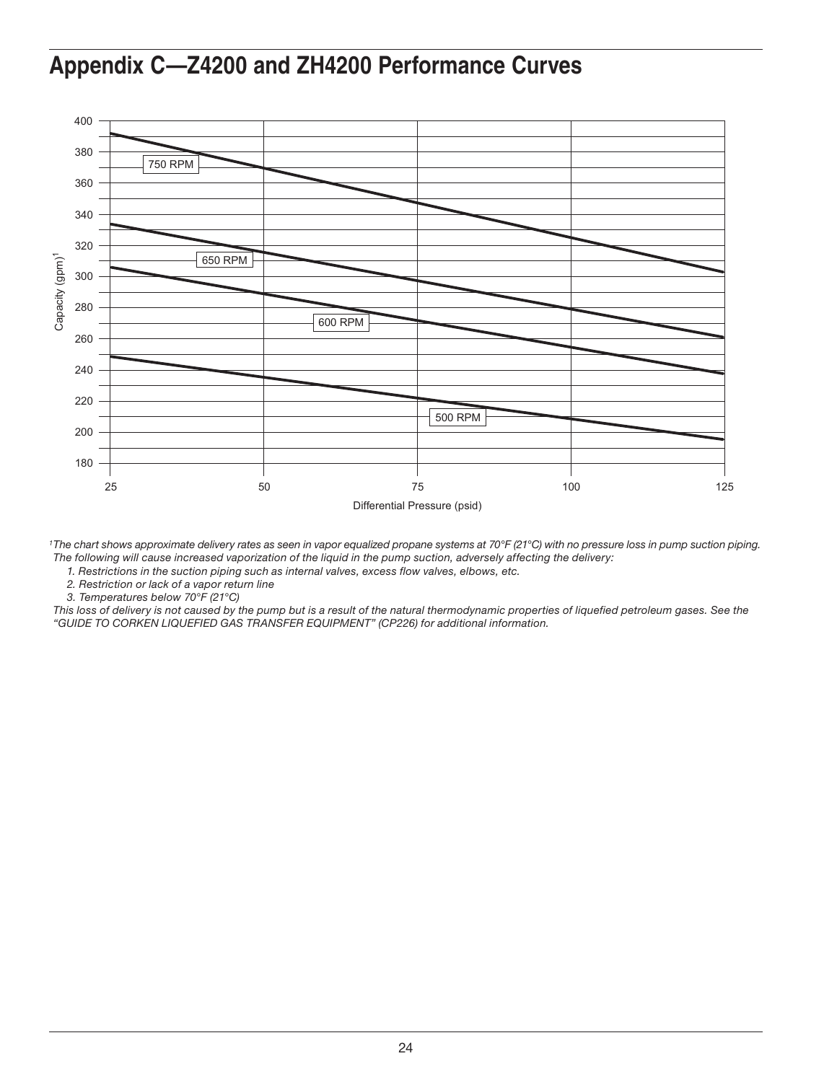### **Appendix C—Z4200 and ZH4200 Performance Curves**



*1The chart shows approximate delivery rates as seen in vapor equalized propane systems at 70°F (21°C) with no pressure loss in pump suction piping. The following will cause increased vaporization of the liquid in the pump suction, adversely affecting the delivery:*

*1. Restrictions in the suction piping such as internal valves, excess flow valves, elbows, etc.*

*2. Restriction or lack of a vapor return line*

*3. Temperatures below 70°F (21°C)*

*This loss of delivery is not caused by the pump but is a result of the natural thermodynamic properties of liquefied petroleum gases. See the "GUIDE TO CORKEN LIQUEFIED GAS TRANSFER EQUIPMENT" (CP226) for additional information.*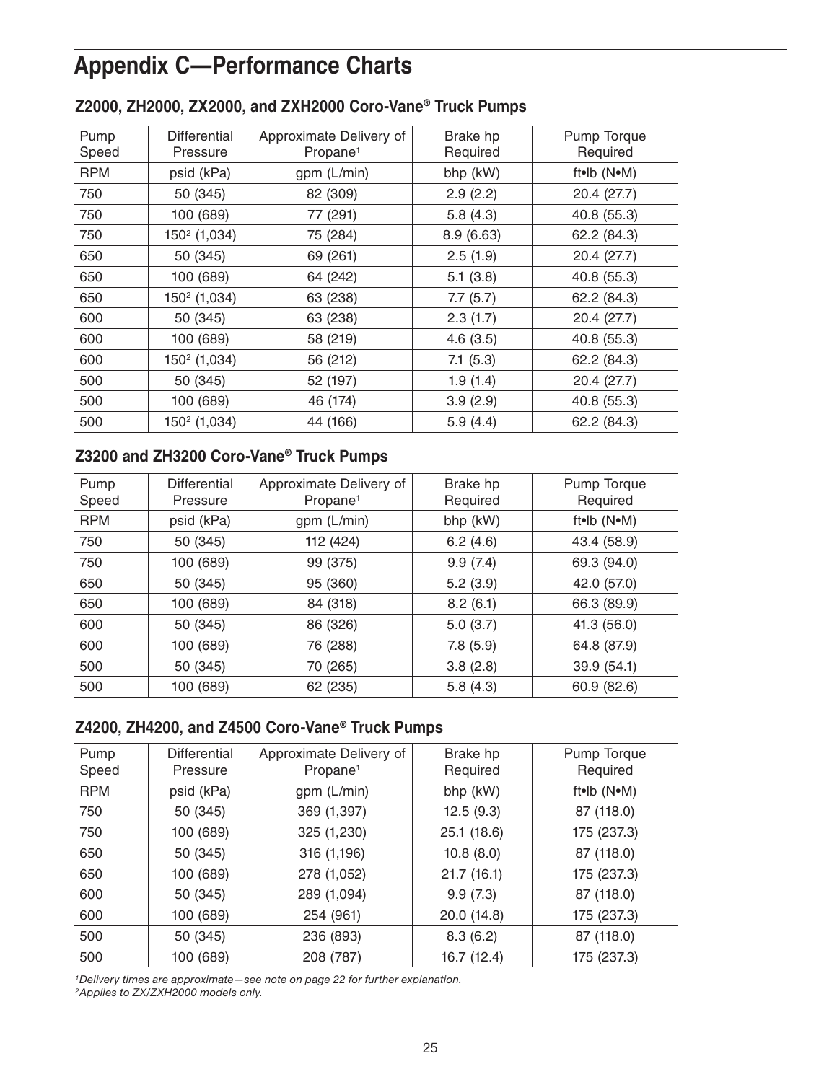# **Appendix C—Performance Charts**

| Pump       | <b>Differential</b>      | Approximate Delivery of | Brake hp   | Pump Torque |
|------------|--------------------------|-------------------------|------------|-------------|
| Speed      | Pressure                 | Propane <sup>1</sup>    | Required   | Required    |
| <b>RPM</b> | psid (kPa)               | gpm (L/min)             | bhp (kW)   | ft•lb (N•M) |
| 750        | 50 (345)                 | 82 (309)                | 2.9(2.2)   | 20.4 (27.7) |
| 750        | 100 (689)                | 77 (291)                | 5.8(4.3)   | 40.8 (55.3) |
| 750        | $150^2$ (1,034)          | 75 (284)                | 8.9 (6.63) | 62.2 (84.3) |
| 650        | 50 (345)                 | 69 (261)                | 2.5(1.9)   | 20.4 (27.7) |
| 650        | 100 (689)                | 64 (242)                | 5.1(3.8)   | 40.8 (55.3) |
| 650        | 150 <sup>2</sup> (1,034) | 63 (238)                | 7.7(5.7)   | 62.2 (84.3) |
| 600        | 50 (345)                 | 63 (238)                | 2.3(1.7)   | 20.4 (27.7) |
| 600        | 100 (689)                | 58 (219)                | 4.6(3.5)   | 40.8 (55.3) |
| 600        | 150 <sup>2</sup> (1,034) | 56 (212)                | 7.1(5.3)   | 62.2 (84.3) |
| 500        | 50 (345)                 | 52 (197)                | 1.9(1.4)   | 20.4 (27.7) |
| 500        | 100 (689)                | 46 (174)                | 3.9(2.9)   | 40.8 (55.3) |
| 500        | 150 <sup>2</sup> (1,034) | 44 (166)                | 5.9(4.4)   | 62.2 (84.3) |

#### **Z2000, ZH2000, ZX2000, and ZXH2000 Coro-Vane® Truck Pumps**

### **Z3200 and ZH3200 Coro-Vane® Truck Pumps**

| Pump<br>Speed | <b>Differential</b><br>Pressure | Approximate Delivery of<br>Propane <sup>1</sup> | Brake hp<br>Required | Pump Torque<br>Required |
|---------------|---------------------------------|-------------------------------------------------|----------------------|-------------------------|
| <b>RPM</b>    | psid (kPa)                      | gpm (L/min)                                     | bhp (kW)             | ft•lb (N•M)             |
| 750           | 50 (345)                        | 112 (424)                                       | 6.2(4.6)             | 43.4 (58.9)             |
| 750           | 100 (689)                       | 99 (375)                                        | 9.9(7.4)             | 69.3 (94.0)             |
| 650           | 50 (345)                        | 95 (360)                                        | 5.2(3.9)             | 42.0 (57.0)             |
| 650           | 100 (689)                       | 84 (318)                                        | 8.2(6.1)             | 66.3 (89.9)             |
| 600           | 50 (345)                        | 86 (326)                                        | 5.0(3.7)             | 41.3 (56.0)             |
| 600           | 100 (689)                       | 76 (288)                                        | 7.8(5.9)             | 64.8 (87.9)             |
| 500           | 50 (345)                        | 70 (265)                                        | 3.8(2.8)             | 39.9 (54.1)             |
| 500           | 100 (689)                       | 62 (235)                                        | 5.8(4.3)             | 60.9 (82.6)             |

### **Z4200, ZH4200, and Z4500 Coro-Vane® Truck Pumps**

| Pump<br>Speed | Differential<br>Pressure | Approximate Delivery of<br>Propane <sup>1</sup> | Brake hp<br>Required | Pump Torque<br>Required |
|---------------|--------------------------|-------------------------------------------------|----------------------|-------------------------|
| <b>RPM</b>    | psid (kPa)               | gpm (L/min)                                     | bhp (kW)             | ft•lb (N•M)             |
| 750           | 50 (345)                 | 369 (1,397)                                     | 12.5(9.3)            | 87 (118.0)              |
| 750           | 100 (689)                | 325 (1,230)                                     | 25.1(18.6)           | 175 (237.3)             |
| 650           | 50 (345)                 | 316 (1,196)                                     | 10.8(8.0)            | 87 (118.0)              |
| 650           | 100 (689)                | 278 (1,052)                                     | 21.7(16.1)           | 175 (237.3)             |
| 600           | 50 (345)                 | 289 (1,094)                                     | 9.9(7.3)             | 87 (118.0)              |
| 600           | 100 (689)                | 254 (961)                                       | 20.0 (14.8)          | 175 (237.3)             |
| 500           | 50 (345)                 | 236 (893)                                       | 8.3(6.2)             | 87 (118.0)              |
| 500           | 100 (689)                | 208 (787)                                       | 16.7 (12.4)          | 175 (237.3)             |

*1Delivery times are approximate—see note on page 22 for further explanation.*

*2Applies to ZX/ZXH2000 models only.*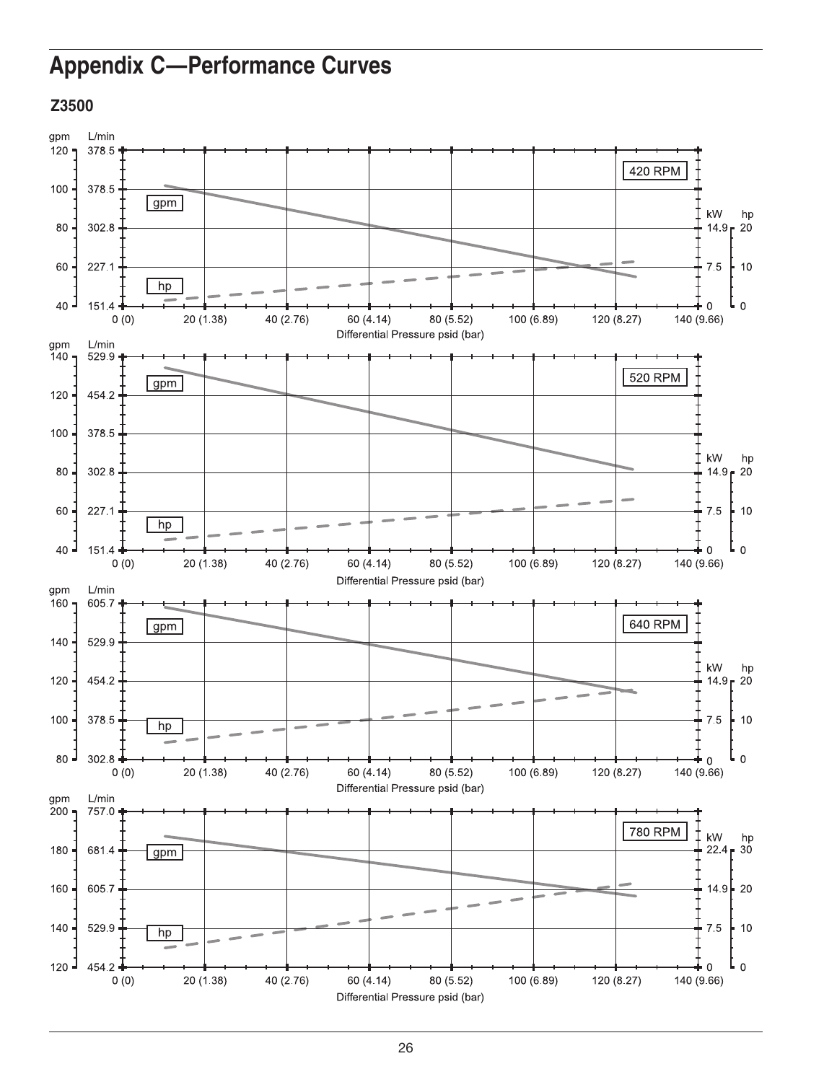# **Appendix C-Performance Curves**

#### Z3500